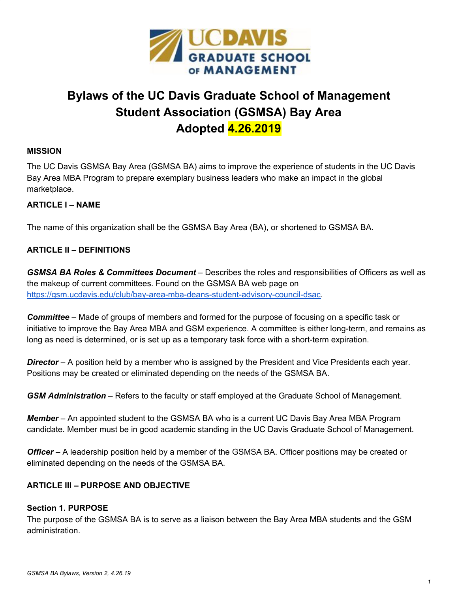

# **Bylaws of the UC Davis Graduate School of Management Student Association (GSMSA) Bay Area Adopted 4.26.2019**

#### **MISSION**

The UC Davis GSMSA Bay Area (GSMSA BA) aims to improve the experience of students in the UC Davis Bay Area MBA Program to prepare exemplary business leaders who make an impact in the global marketplace.

#### **ARTICLE I – NAME**

The name of this organization shall be the GSMSA Bay Area (BA), or shortened to GSMSA BA.

#### **ARTICLE II – DEFINITIONS**

*GSMSA BA Roles & Committees Document* – Describes the roles and responsibilities of Officers as well as the makeup of current committees. Found on the GSMSA BA web page on [https://gsm.ucdavis.edu/club/bay-area-mba-deans-student-advisory-council-dsac.](https://gsm.ucdavis.edu/club/bay-area-mba-deans-student-advisory-council-dsac)

*Committee* – Made of groups of members and formed for the purpose of focusing on a specific task or initiative to improve the Bay Area MBA and GSM experience. A committee is either long-term, and remains as long as need is determined, or is set up as a temporary task force with a short-term expiration.

**Director** – A position held by a member who is assigned by the President and Vice Presidents each year. Positions may be created or eliminated depending on the needs of the GSMSA BA.

*GSM Administration* – Refers to the faculty or staff employed at the Graduate School of Management.

*Member* – An appointed student to the GSMSA BA who is a current UC Davis Bay Area MBA Program candidate. Member must be in good academic standing in the UC Davis Graduate School of Management.

*Officer* – A leadership position held by a member of the GSMSA BA. Officer positions may be created or eliminated depending on the needs of the GSMSA BA.

#### **ARTICLE III – PURPOSE AND OBJECTIVE**

#### **Section 1. PURPOSE**

The purpose of the GSMSA BA is to serve as a liaison between the Bay Area MBA students and the GSM administration.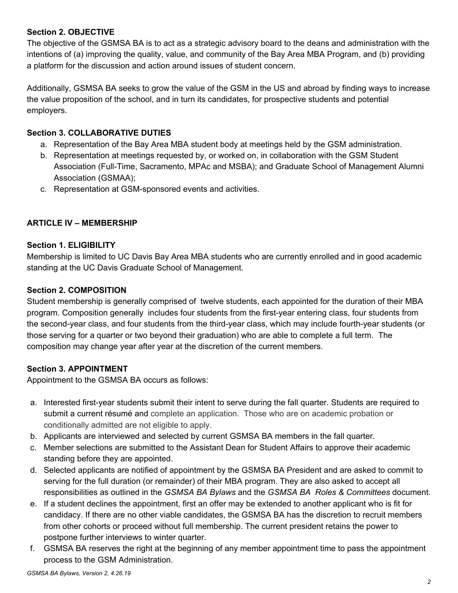#### **Section 2. OBJECTIVE**

The objective of the GSMSA BA is to act as a strategic advisory board to the deans and administration with the intentions of (a) improving the quality, value, and community of the Bay Area MBA Program, and (b) providing a platform for the discussion and action around issues of student concern.

Additionally, GSMSA BA seeks to grow the value of the GSM in the US and abroad by finding ways to increase the value proposition of the school, and in turn its candidates, for prospective students and potential employers.

#### **Section 3. COLLABORATIVE DUTIES**

- a. Representation of the Bay Area MBA student body at meetings held by the GSM administration.
- b. Representation at meetings requested by, or worked on, in collaboration with the GSM Student Association (Full-Time, Sacramento, MPAc and MSBA); and Graduate School of Management Alumni Association (GSMAA);
- c. Representation at GSM-sponsored events and activities.

#### **ARTICLE IV – MEMBERSHIP**

#### **Section 1. ELIGIBILITY**

Membership is limited to UC Davis Bay Area MBA students who are currently enrolled and in good academic standing at the UC Davis Graduate School of Management.

#### **Section 2. COMPOSITION**

Student membership is generally comprised of twelve students, each appointed for the duration of their MBA program. Composition generally includes four students from the first-year entering class, four students from the second-year class, and four students from the third-year class, which may include fourth-year students (or those serving for a quarter or two beyond their graduation) who are able to complete a full term. The composition may change year after year at the discretion of the current members.

## **Section 3. APPOINTMENT**

Appointment to the GSMSA BA occurs as follows:

- a. Interested first-year students submit their intent to serve during the fall quarter. Students are required to submit a current résumé and complete an application. Those who are on academic probation or conditionally admitted are not eligible to apply.
- b. Applicants are interviewed and selected by current GSMSA BA members in the fall quarter.
- c. Member selections are submitted to the Assistant Dean for Student Affairs to approve their academic standing before they are appointed.
- d. Selected applicants are notified of appointment by the GSMSA BA President and are asked to commit to serving for the full duration (or remainder) of their MBA program. They are also asked to accept all responsibilities as outlined in the *GSMSA BA Bylaws* and the *GSMSA BA Roles & Committees* document.
- e. If a student declines the appointment, first an offer may be extended to another applicant who is fit for candidacy. If there are no other viable candidates, the GSMSA BA has the discretion to recruit members from other cohorts or proceed without full membership. The current president retains the power to postpone further interviews to winter quarter.
- f. GSMSA BA reserves the right at the beginning of any member appointment time to pass the appointment process to the GSM Administration.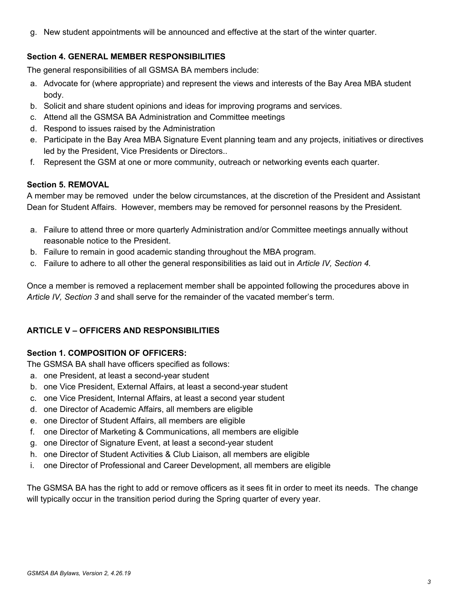g. New student appointments will be announced and effective at the start of the winter quarter.

## **Section 4. GENERAL MEMBER RESPONSIBILITIES**

The general responsibilities of all GSMSA BA members include:

- a. Advocate for (where appropriate) and represent the views and interests of the Bay Area MBA student body.
- b. Solicit and share student opinions and ideas for improving programs and services.
- c. Attend all the GSMSA BA Administration and Committee meetings
- d. Respond to issues raised by the Administration
- e. Participate in the Bay Area MBA Signature Event planning team and any projects, initiatives or directives led by the President, Vice Presidents or Directors..
- f. Represent the GSM at one or more community, outreach or networking events each quarter.

## **Section 5. REMOVAL**

A member may be removed under the below circumstances, at the discretion of the President and Assistant Dean for Student Affairs. However, members may be removed for personnel reasons by the President.

- a. Failure to attend three or more quarterly Administration and/or Committee meetings annually without reasonable notice to the President.
- b. Failure to remain in good academic standing throughout the MBA program.
- c. Failure to adhere to all other the general responsibilities as laid out in *Article IV, Section 4.*

Once a member is removed a replacement member shall be appointed following the procedures above in *Article IV, Section 3* and shall serve for the remainder of the vacated member's term.

## **ARTICLE V – OFFICERS AND RESPONSIBILITIES**

## **Section 1. COMPOSITION OF OFFICERS:**

The GSMSA BA shall have officers specified as follows:

- a. one President, at least a second-year student
- b. one Vice President, External Affairs, at least a second-year student
- c. one Vice President, Internal Affairs, at least a second year student
- d. one Director of Academic Affairs, all members are eligible
- e. one Director of Student Affairs, all members are eligible
- f. one Director of Marketing & Communications, all members are eligible
- g. one Director of Signature Event, at least a second-year student
- h. one Director of Student Activities & Club Liaison, all members are eligible
- i. one Director of Professional and Career Development, all members are eligible

The GSMSA BA has the right to add or remove officers as it sees fit in order to meet its needs. The change will typically occur in the transition period during the Spring quarter of every year.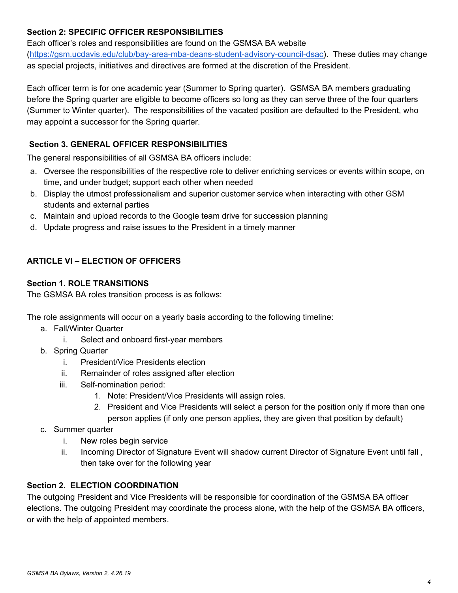## **Section 2: SPECIFIC OFFICER RESPONSIBILITIES**

Each officer's roles and responsibilities are found on the GSMSA BA website ([https://gsm.ucdavis.edu/club/bay-area-mba-deans-student-advisory-council-dsac\)](https://gsm.ucdavis.edu/club/bay-area-mba-deans-student-advisory-council-dsac). These duties may change as special projects, initiatives and directives are formed at the discretion of the President.

Each officer term is for one academic year (Summer to Spring quarter). GSMSA BA members graduating before the Spring quarter are eligible to become officers so long as they can serve three of the four quarters (Summer to Winter quarter). The responsibilities of the vacated position are defaulted to the President, who may appoint a successor for the Spring quarter.

## **Section 3. GENERAL OFFICER RESPONSIBILITIES**

The general responsibilities of all GSMSA BA officers include:

- a. Oversee the responsibilities of the respective role to deliver enriching services or events within scope, on time, and under budget; support each other when needed
- b. Display the utmost professionalism and superior customer service when interacting with other GSM students and external parties
- c. Maintain and upload records to the Google team drive for succession planning
- d. Update progress and raise issues to the President in a timely manner

## **ARTICLE VI – ELECTION OF OFFICERS**

#### **Section 1. ROLE TRANSITIONS**

The GSMSA BA roles transition process is as follows:

The role assignments will occur on a yearly basis according to the following timeline:

- a. Fall/Winter Quarter
	- i. Select and onboard first-year members
- b. Spring Quarter
	- i. President/Vice Presidents election
	- ii. Remainder of roles assigned after election
	- iii. Self-nomination period:
		- 1. Note: President/Vice Presidents will assign roles.
		- 2. President and Vice Presidents will select a person for the position only if more than one person applies (if only one person applies, they are given that position by default)
- c. Summer quarter
	- i. New roles begin service
	- ii. Incoming Director of Signature Event will shadow current Director of Signature Event until fall , then take over for the following year

## **Section 2. ELECTION COORDINATION**

The outgoing President and Vice Presidents will be responsible for coordination of the GSMSA BA officer elections. The outgoing President may coordinate the process alone, with the help of the GSMSA BA officers, or with the help of appointed members.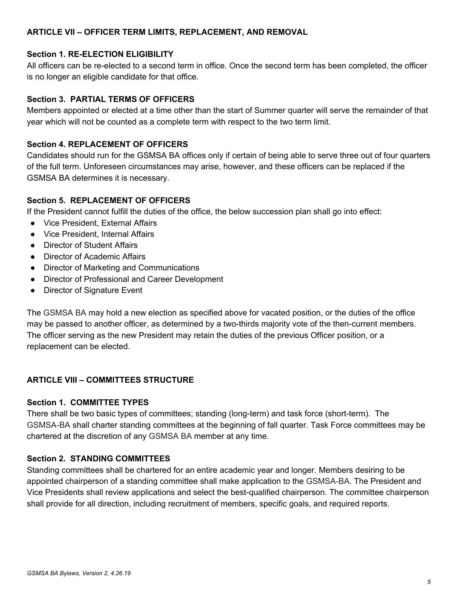#### **ARTICLE VII – OFFICER TERM LIMITS, REPLACEMENT, AND REMOVAL**

#### **Section 1. RE-ELECTION ELIGIBILITY**

All officers can be re-elected to a second term in office. Once the second term has been completed, the officer is no longer an eligible candidate for that office.

#### **Section 3. PARTIAL TERMS OF OFFICERS**

Members appointed or elected at a time other than the start of Summer quarter will serve the remainder of that year which will not be counted as a complete term with respect to the two term limit.

#### **Section 4. REPLACEMENT OF OFFICERS**

Candidates should run for the GSMSA BA offices only if certain of being able to serve three out of four quarters of the full term. Unforeseen circumstances may arise, however, and these officers can be replaced if the GSMSA BA determines it is necessary.

#### **Section 5. REPLACEMENT OF OFFICERS**

If the President cannot fulfill the duties of the office, the below succession plan shall go into effect:

- Vice President, External Affairs
- Vice President, Internal Affairs
- Director of Student Affairs
- Director of Academic Affairs
- Director of Marketing and Communications
- Director of Professional and Career Development
- Director of Signature Event

The GSMSA BA may hold a new election as specified above for vacated position, or the duties of the office may be passed to another officer, as determined by a two-thirds majority vote of the then-current members. The officer serving as the new President may retain the duties of the previous Officer position, or a replacement can be elected.

## **ARTICLE VIII – COMMITTEES STRUCTURE**

#### **Section 1. COMMITTEE TYPES**

There shall be two basic types of committees; standing (long-term) and task force (short-term). The GSMSA-BA shall charter standing committees at the beginning of fall quarter. Task Force committees may be chartered at the discretion of any GSMSA BA member at any time.

#### **Section 2. STANDING COMMITTEES**

Standing committees shall be chartered for an entire academic year and longer. Members desiring to be appointed chairperson of a standing committee shall make application to the GSMSA-BA. The President and Vice Presidents shall review applications and select the best-qualified chairperson. The committee chairperson shall provide for all direction, including recruitment of members, specific goals, and required reports.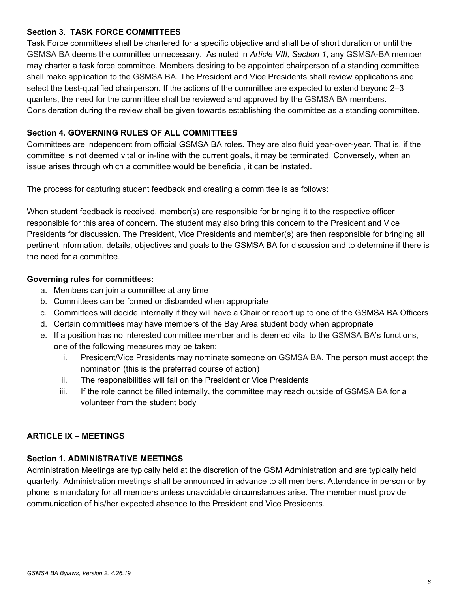#### **Section 3. TASK FORCE COMMITTEES**

Task Force committees shall be chartered for a specific objective and shall be of short duration or until the GSMSA BA deems the committee unnecessary. As noted in *Article VIII, Section 1*, any GSMSA-BA member may charter a task force committee. Members desiring to be appointed chairperson of a standing committee shall make application to the GSMSA BA. The President and Vice Presidents shall review applications and select the best-qualified chairperson. If the actions of the committee are expected to extend beyond 2–3 quarters, the need for the committee shall be reviewed and approved by the GSMSA BA members. Consideration during the review shall be given towards establishing the committee as a standing committee.

## **Section 4. GOVERNING RULES OF ALL COMMITTEES**

Committees are independent from official GSMSA BA roles. They are also fluid year-over-year. That is, if the committee is not deemed vital or in-line with the current goals, it may be terminated. Conversely, when an issue arises through which a committee would be beneficial, it can be instated.

The process for capturing student feedback and creating a committee is as follows:

When student feedback is received, member(s) are responsible for bringing it to the respective officer responsible for this area of concern. The student may also bring this concern to the President and Vice Presidents for discussion. The President, Vice Presidents and member(s) are then responsible for bringing all pertinent information, details, objectives and goals to the GSMSA BA for discussion and to determine if there is the need for a committee.

#### **Governing rules for committees:**

- a. Members can join a committee at any time
- b. Committees can be formed or disbanded when appropriate
- c. Committees will decide internally if they will have a Chair or report up to one of the GSMSA BA Officers
- d. Certain committees may have members of the Bay Area student body when appropriate
- e. If a position has no interested committee member and is deemed vital to the GSMSA BA's functions, one of the following measures may be taken:
	- i. President/Vice Presidents may nominate someone on GSMSA BA. The person must accept the nomination (this is the preferred course of action)
	- ii. The responsibilities will fall on the President or Vice Presidents
	- iii. If the role cannot be filled internally, the committee may reach outside of GSMSA BA for a volunteer from the student body

## **ARTICLE IX – MEETINGS**

## **Section 1. ADMINISTRATIVE MEETINGS**

Administration Meetings are typically held at the discretion of the GSM Administration and are typically held quarterly. Administration meetings shall be announced in advance to all members. Attendance in person or by phone is mandatory for all members unless unavoidable circumstances arise. The member must provide communication of his/her expected absence to the President and Vice Presidents.